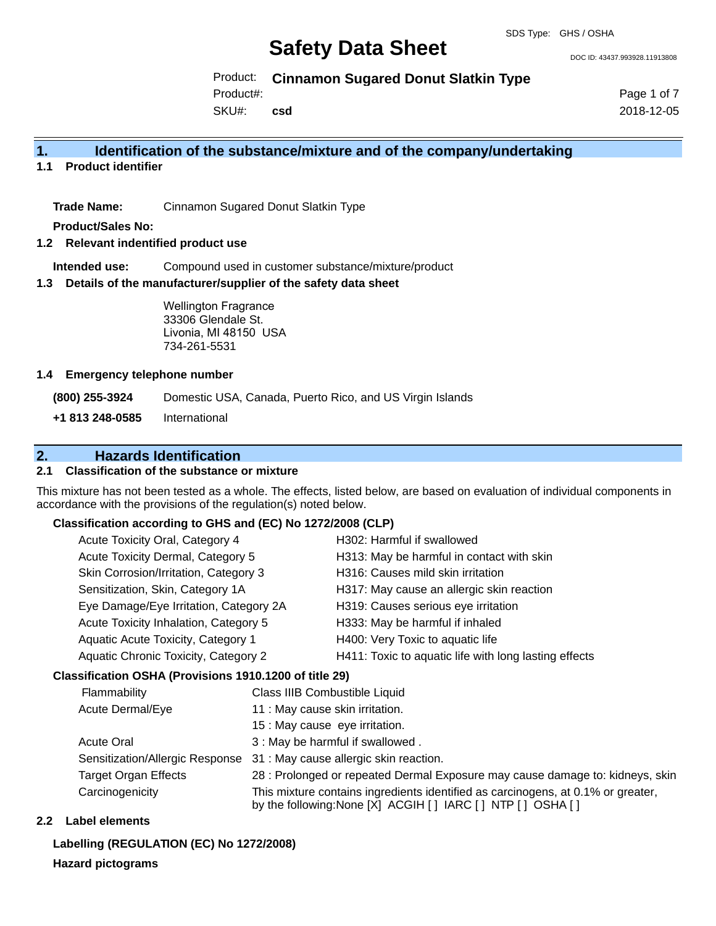DOC ID: 43437.993928.11913808

Product: **Cinnamon Sugared Donut Slatkin Type**

Product#:

SKU#: **csd** Page 1 of 7 2018-12-05

# **1. Identification of the substance/mixture and of the company/undertaking**

**1.1 Product identifier**

**Trade Name:** Cinnamon Sugared Donut Slatkin Type

**Product/Sales No:**

#### **1.2 Relevant indentified product use**

**Intended use:** Compound used in customer substance/mixture/product

### **1.3 Details of the manufacturer/supplier of the safety data sheet**

Wellington Fragrance 33306 Glendale St. Livonia, MI 48150 USA 734-261-5531

### **1.4 Emergency telephone number**

**(800) 255-3924** Domestic USA, Canada, Puerto Rico, and US Virgin Islands **+1 813 248-0585** International

# **2. Hazards Identification**

## **2.1 Classification of the substance or mixture**

This mixture has not been tested as a whole. The effects, listed below, are based on evaluation of individual components in accordance with the provisions of the regulation(s) noted below.

## **Classification according to GHS and (EC) No 1272/2008 (CLP)**

| Acute Toxicity Oral, Category 4        | H302: Harmful if swallowed                            |
|----------------------------------------|-------------------------------------------------------|
| Acute Toxicity Dermal, Category 5      | H313: May be harmful in contact with skin             |
| Skin Corrosion/Irritation, Category 3  | H316: Causes mild skin irritation                     |
| Sensitization, Skin, Category 1A       | H317: May cause an allergic skin reaction             |
| Eye Damage/Eye Irritation, Category 2A | H319: Causes serious eye irritation                   |
| Acute Toxicity Inhalation, Category 5  | H333: May be harmful if inhaled                       |
| Aquatic Acute Toxicity, Category 1     | H400: Very Toxic to aquatic life                      |
| Aquatic Chronic Toxicity, Category 2   | H411: Toxic to aquatic life with long lasting effects |
|                                        |                                                       |

## **Classification OSHA (Provisions 1910.1200 of title 29)**

| Flammability                    | Class IIIB Combustible Liquid                                                                                                                      |
|---------------------------------|----------------------------------------------------------------------------------------------------------------------------------------------------|
| Acute Dermal/Eye                | 11 : May cause skin irritation.                                                                                                                    |
|                                 | 15 : May cause eye irritation.                                                                                                                     |
| <b>Acute Oral</b>               | 3 : May be harmful if swallowed.                                                                                                                   |
| Sensitization/Allergic Response | 31 : May cause allergic skin reaction.                                                                                                             |
| <b>Target Organ Effects</b>     | 28 : Prolonged or repeated Dermal Exposure may cause damage to: kidneys, skin                                                                      |
| Carcinogenicity                 | This mixture contains ingredients identified as carcinogens, at 0.1% or greater,<br>by the following: None [X] ACGIH [ ] IARC [ ] NTP [ ] OSHA [ ] |

## **2.2 Label elements**

## **Labelling (REGULATION (EC) No 1272/2008)**

**Hazard pictograms**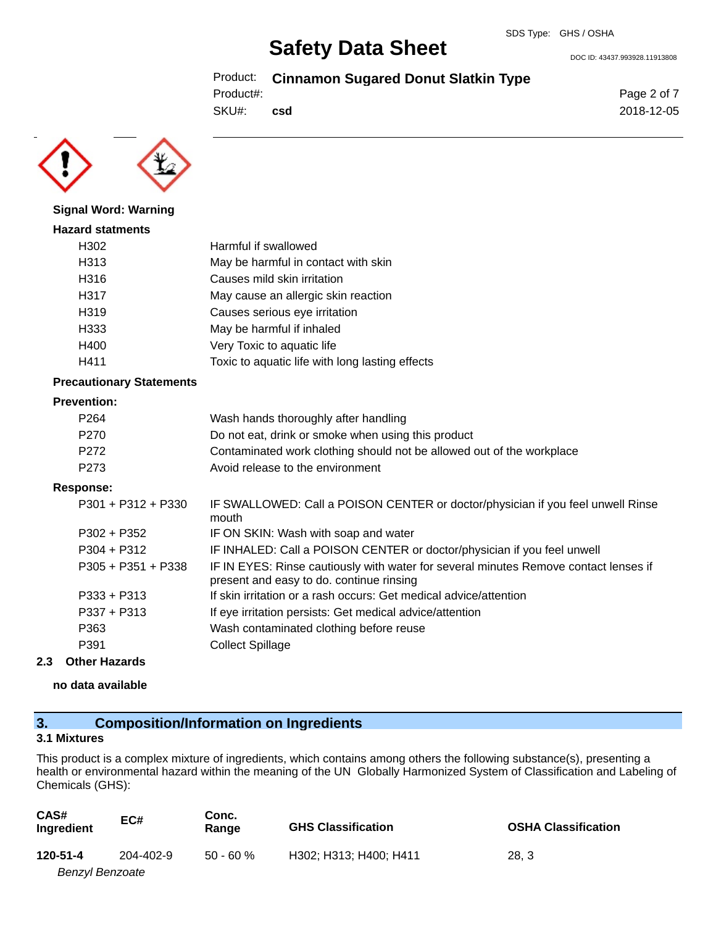DOC ID: 43437.993928.11913808

Product: **Cinnamon Sugared Donut Slatkin Type**

Product#:

SKU#: **csd** Page 2 of 7 2018-12-05



# **Signal Word: Warning**

| <b>Hazard statments</b> |                                                 |
|-------------------------|-------------------------------------------------|
| H302                    | Harmful if swallowed                            |
| H313                    | May be harmful in contact with skin             |
| H316                    | Causes mild skin irritation                     |
| H317                    | May cause an allergic skin reaction             |
| H319                    | Causes serious eye irritation                   |
| H333                    | May be harmful if inhaled                       |
| H400                    | Very Toxic to aquatic life                      |
| H411                    | Toxic to aquatic life with long lasting effects |

### **Precautionary Statements**

#### **Prevention:**

| P <sub>264</sub> | Wash hands thoroughly after handling                                  |
|------------------|-----------------------------------------------------------------------|
| P270             | Do not eat, drink or smoke when using this product                    |
| P272             | Contaminated work clothing should not be allowed out of the workplace |
| P273             | Avoid release to the environment                                      |

#### **Response:**

| $P301 + P312 + P330$ | IF SWALLOWED: Call a POISON CENTER or doctor/physician if you feel unwell Rinse<br>mouth                                         |
|----------------------|----------------------------------------------------------------------------------------------------------------------------------|
| $P302 + P352$        | IF ON SKIN: Wash with soap and water                                                                                             |
| $P304 + P312$        | IF INHALED: Call a POISON CENTER or doctor/physician if you feel unwell                                                          |
| $P305 + P351 + P338$ | IF IN EYES: Rinse cautiously with water for several minutes Remove contact lenses if<br>present and easy to do. continue rinsing |
| $P333 + P313$        | If skin irritation or a rash occurs: Get medical advice/attention                                                                |
| $P337 + P313$        | If eye irritation persists: Get medical advice/attention                                                                         |
| P363                 | Wash contaminated clothing before reuse                                                                                          |
| P391                 | <b>Collect Spillage</b>                                                                                                          |

### **2.3 Other Hazards**

## **no data available**

# **3. Composition/Information on Ingredients**

#### **3.1 Mixtures**

This product is a complex mixture of ingredients, which contains among others the following substance(s), presenting a health or environmental hazard within the meaning of the UN Globally Harmonized System of Classification and Labeling of Chemicals (GHS):

| CAS#<br>Ingredient | EC#       | Conc.<br>Range | <b>GHS Classification</b> | <b>OSHA Classification</b> |
|--------------------|-----------|----------------|---------------------------|----------------------------|
| 120-51-4           | 204-402-9 | $50 - 60%$     | H302: H313: H400: H411    | 28.3                       |
| Benzyl Benzoate    |           |                |                           |                            |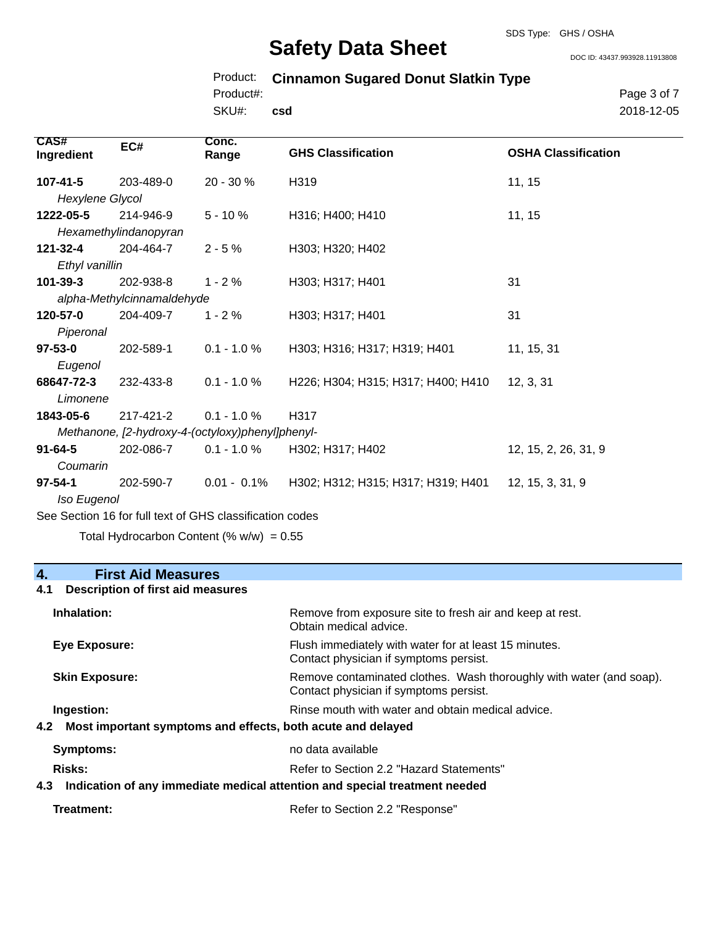DOC ID: 43437.993928.11913808

# Product: **Cinnamon Sugared Donut Slatkin Type**

SKU#: Product#: **csd** Page 3 of 7 2018-12-05

| CAS#<br>Ingredient                               | EC#                                                      | Conc.<br>Range | <b>GHS Classification</b>          | <b>OSHA Classification</b> |
|--------------------------------------------------|----------------------------------------------------------|----------------|------------------------------------|----------------------------|
| 107-41-5                                         | 203-489-0                                                | 20 - 30 %      | H319                               | 11, 15                     |
| Hexylene Glycol                                  |                                                          |                |                                    |                            |
| 1222-05-5                                        | 214-946-9                                                | $5 - 10%$      | H316; H400; H410                   | 11, 15                     |
|                                                  | Hexamethylindanopyran                                    |                |                                    |                            |
| $121 - 32 - 4$                                   | 204-464-7                                                | $2 - 5%$       | H303; H320; H402                   |                            |
| Ethyl vanillin                                   |                                                          |                |                                    |                            |
| $101 - 39 - 3$                                   | 202-938-8                                                | $1 - 2%$       | H303; H317; H401                   | 31                         |
|                                                  | alpha-Methylcinnamaldehyde                               |                |                                    |                            |
| 120-57-0                                         | 204-409-7                                                | $1 - 2%$       | H303; H317; H401                   | 31                         |
| Piperonal                                        |                                                          |                |                                    |                            |
| $97 - 53 - 0$                                    | 202-589-1                                                | $0.1 - 1.0 \%$ | H303; H316; H317; H319; H401       | 11, 15, 31                 |
| Eugenol                                          |                                                          |                |                                    |                            |
| 68647-72-3                                       | 232-433-8                                                | $0.1 - 1.0 %$  | H226; H304; H315; H317; H400; H410 | 12, 3, 31                  |
| Limonene                                         |                                                          |                |                                    |                            |
| 1843-05-6                                        | 217-421-2                                                | $0.1 - 1.0 %$  | H317                               |                            |
| Methanone, [2-hydroxy-4-(octyloxy)phenyl]phenyl- |                                                          |                |                                    |                            |
| $91 - 64 - 5$                                    | 202-086-7                                                | $0.1 - 1.0 \%$ | H302; H317; H402                   | 12, 15, 2, 26, 31, 9       |
| Coumarin                                         |                                                          |                |                                    |                            |
| $97 - 54 - 1$                                    | 202-590-7                                                | $0.01 - 0.1\%$ | H302; H312; H315; H317; H319; H401 | 12, 15, 3, 31, 9           |
| Iso Eugenol                                      |                                                          |                |                                    |                            |
|                                                  | See Section 16 for full text of GHS classification codes |                |                                    |                            |

Total Hydrocarbon Content (%  $w/w$ ) = 0.55

# **4. First Aid Measures**

# **4.1 Description of first aid measures**

| Inhalation:                                                                   | Remove from exposure site to fresh air and keep at rest.<br>Obtain medical advice.                            |
|-------------------------------------------------------------------------------|---------------------------------------------------------------------------------------------------------------|
| <b>Eye Exposure:</b>                                                          | Flush immediately with water for at least 15 minutes.<br>Contact physician if symptoms persist.               |
| <b>Skin Exposure:</b>                                                         | Remove contaminated clothes. Wash thoroughly with water (and soap).<br>Contact physician if symptoms persist. |
| Ingestion:<br>4.2 Most important symptoms and effects, both acute and delayed | Rinse mouth with water and obtain medical advice.                                                             |
| <b>Symptoms:</b>                                                              | no data available                                                                                             |
| <b>Risks:</b>                                                                 | Refer to Section 2.2 "Hazard Statements"                                                                      |
|                                                                               | 4.3 Indication of any immediate medical attention and special treatment needed                                |
| Treatment:                                                                    | Refer to Section 2.2 "Response"                                                                               |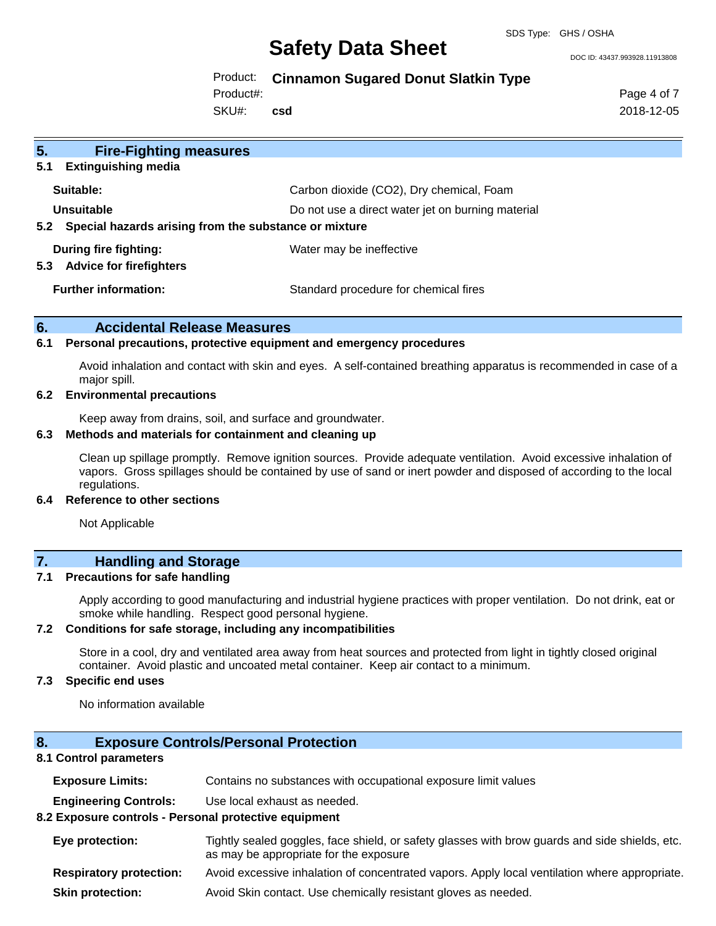DOC ID: 43437.993928.11913808

## Product: **Cinnamon Sugared Donut Slatkin Type**

Product#:

SKU#: **csd** Page 4 of 7 2018-12-05

| 5.<br><b>Fire-Fighting measures</b><br><b>Extinguishing media</b><br>5.1   |                                                   |
|----------------------------------------------------------------------------|---------------------------------------------------|
| Suitable:                                                                  | Carbon dioxide (CO2), Dry chemical, Foam          |
| Unsuitable<br>Special hazards arising from the substance or mixture<br>5.2 | Do not use a direct water jet on burning material |
| During fire fighting:<br><b>Advice for firefighters</b><br>5.3             | Water may be ineffective                          |
| <b>Further information:</b>                                                | Standard procedure for chemical fires             |

## **6. Accidental Release Measures**

#### **6.1 Personal precautions, protective equipment and emergency procedures**

Avoid inhalation and contact with skin and eyes. A self-contained breathing apparatus is recommended in case of a major spill.

#### **6.2 Environmental precautions**

Keep away from drains, soil, and surface and groundwater.

#### **6.3 Methods and materials for containment and cleaning up**

Clean up spillage promptly. Remove ignition sources. Provide adequate ventilation. Avoid excessive inhalation of vapors. Gross spillages should be contained by use of sand or inert powder and disposed of according to the local regulations.

#### **6.4 Reference to other sections**

Not Applicable

# **7. Handling and Storage**

### **7.1 Precautions for safe handling**

Apply according to good manufacturing and industrial hygiene practices with proper ventilation. Do not drink, eat or smoke while handling. Respect good personal hygiene.

#### **7.2 Conditions for safe storage, including any incompatibilities**

Store in a cool, dry and ventilated area away from heat sources and protected from light in tightly closed original container. Avoid plastic and uncoated metal container. Keep air contact to a minimum.

### **7.3 Specific end uses**

No information available

## **8. Exposure Controls/Personal Protection**

## **8.1 Control parameters**

| <b>Exposure Limits:</b> | Contains no substances with occupational exposure limit values |  |  |
|-------------------------|----------------------------------------------------------------|--|--|
|-------------------------|----------------------------------------------------------------|--|--|

**Engineering Controls:** Use local exhaust as needed.

## **8.2 Exposure controls - Personal protective equipment**

| <b>Eye protection:</b>                                                                                                                                                                                                         | Tightly sealed goggles, face shield, or safety glasses with brow guards and side shields, etc.<br>as may be appropriate for the exposure |
|--------------------------------------------------------------------------------------------------------------------------------------------------------------------------------------------------------------------------------|------------------------------------------------------------------------------------------------------------------------------------------|
| Des de la constancia de la constitución de la constitución de la constitución de la constitución de la constitución de la constitución de la constitución de la constitución de la constitución de la constitución de la const | المفاوض ومستحدث والمستحلف المائد والمتحا والمساري المستحدث المتفسط ومستحدث والمستحدث والمتحدث والمتحدث المالحينية                        |

- **Respiratory protection:** Avoid excessive inhalation of concentrated vapors. Apply local ventilation where appropriate.
- **Skin protection:** Avoid Skin contact. Use chemically resistant gloves as needed.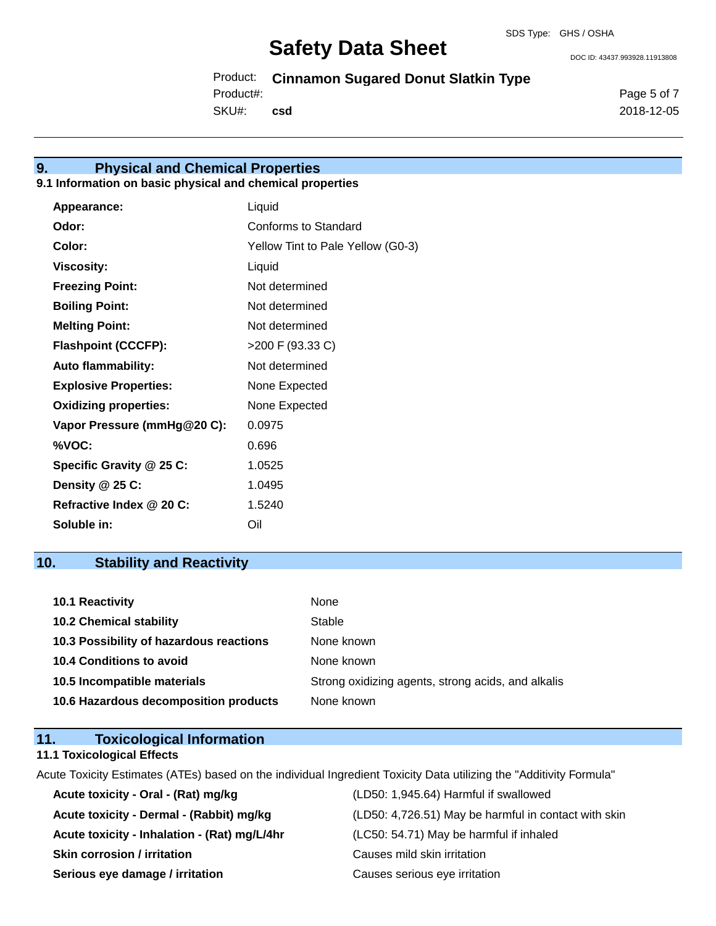DOC ID: 43437.993928.11913808

Product: **Cinnamon Sugared Donut Slatkin Type**

Product#:

SKU#: **csd**

# **9. Physical and Chemical Properties**

## **9.1 Information on basic physical and chemical properties**

| Appearance:                  | Liquid                            |
|------------------------------|-----------------------------------|
| Odor:                        | Conforms to Standard              |
| Color:                       | Yellow Tint to Pale Yellow (G0-3) |
| <b>Viscosity:</b>            | Liquid                            |
| <b>Freezing Point:</b>       | Not determined                    |
| <b>Boiling Point:</b>        | Not determined                    |
| <b>Melting Point:</b>        | Not determined                    |
| <b>Flashpoint (CCCFP):</b>   | >200 F (93.33 C)                  |
| <b>Auto flammability:</b>    | Not determined                    |
| <b>Explosive Properties:</b> | None Expected                     |
| <b>Oxidizing properties:</b> | None Expected                     |
| Vapor Pressure (mmHg@20 C):  | 0.0975                            |
| %VOC:                        | 0.696                             |
| Specific Gravity @ 25 C:     | 1.0525                            |
| Density @ 25 C:              | 1.0495                            |
| Refractive Index @ 20 C:     | 1.5240                            |
| Soluble in:                  | Oil                               |

# **10. Stability and Reactivity**

| <b>10.1 Reactivity</b>                  | None                                               |
|-----------------------------------------|----------------------------------------------------|
| <b>10.2 Chemical stability</b>          | Stable                                             |
| 10.3 Possibility of hazardous reactions | None known                                         |
| <b>10.4 Conditions to avoid</b>         | None known                                         |
| 10.5 Incompatible materials             | Strong oxidizing agents, strong acids, and alkalis |
| 10.6 Hazardous decomposition products   | None known                                         |

## **11. Toxicological Information**

## **11.1 Toxicological Effects**

Acute Toxicity Estimates (ATEs) based on the individual Ingredient Toxicity Data utilizing the "Additivity Formula"

| Acute toxicity - Oral - (Rat) mg/kg          | (LD50: 1,945.64) Harmful if swallowed                |
|----------------------------------------------|------------------------------------------------------|
| Acute toxicity - Dermal - (Rabbit) mg/kg     | (LD50: 4,726.51) May be harmful in contact with skin |
| Acute toxicity - Inhalation - (Rat) mg/L/4hr | (LC50: 54.71) May be harmful if inhaled              |
| <b>Skin corrosion / irritation</b>           | Causes mild skin irritation                          |
| Serious eye damage / irritation              | Causes serious eye irritation                        |

Page 5 of 7 2018-12-05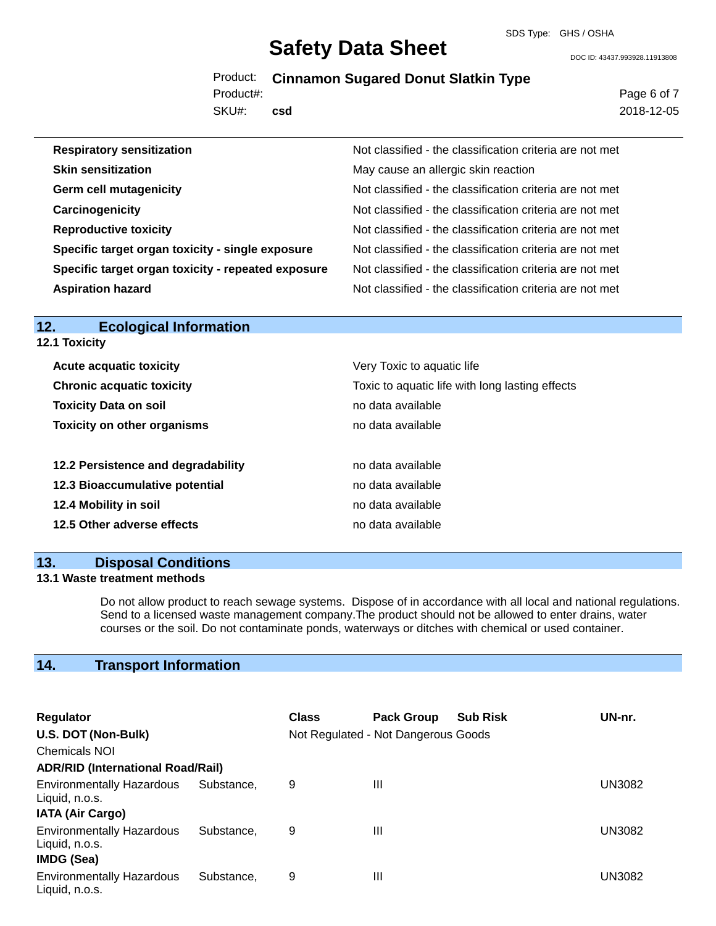#### SDS Type: GHS / OSHA

# **Safety Data Sheet**

DOC ID: 43437.993928.11913808

# Product: **Cinnamon Sugared Donut Slatkin Type**

SKU#: Product#: **csd** Page 6 of 7 2018-12-05

| <b>Respiratory sensitization</b>                   | Not classified - the classification criteria are not met |
|----------------------------------------------------|----------------------------------------------------------|
| <b>Skin sensitization</b>                          | May cause an allergic skin reaction                      |
| <b>Germ cell mutagenicity</b>                      | Not classified - the classification criteria are not met |
| Carcinogenicity                                    | Not classified - the classification criteria are not met |
| <b>Reproductive toxicity</b>                       | Not classified - the classification criteria are not met |
| Specific target organ toxicity - single exposure   | Not classified - the classification criteria are not met |
| Specific target organ toxicity - repeated exposure | Not classified - the classification criteria are not met |
| <b>Aspiration hazard</b>                           | Not classified - the classification criteria are not met |

**12.1 Toxicity**

| <b>Acute acquatic toxicity</b>     | Very Toxic to aquatic life                      |
|------------------------------------|-------------------------------------------------|
| <b>Chronic acquatic toxicity</b>   | Toxic to aquatic life with long lasting effects |
| <b>Toxicity Data on soil</b>       | no data available                               |
| <b>Toxicity on other organisms</b> | no data available                               |
|                                    |                                                 |
| 12.2 Persistence and degradability | no data available                               |
| 12.3 Bioaccumulative potential     | no data available                               |
| 12.4 Mobility in soil              | no data available                               |
| 12.5 Other adverse effects         | no data available                               |
|                                    |                                                 |

## **13. Disposal Conditions**

### **13.1 Waste treatment methods**

Do not allow product to reach sewage systems. Dispose of in accordance with all local and national regulations. Send to a licensed waste management company.The product should not be allowed to enter drains, water courses or the soil. Do not contaminate ponds, waterways or ditches with chemical or used container.

# **14. Transport Information**

| <b>Regulator</b>                                   |            | <b>Class</b> | <b>Pack Group</b>                   | <b>Sub Risk</b> | UN-nr.        |
|----------------------------------------------------|------------|--------------|-------------------------------------|-----------------|---------------|
| U.S. DOT (Non-Bulk)                                |            |              | Not Regulated - Not Dangerous Goods |                 |               |
| <b>Chemicals NOI</b>                               |            |              |                                     |                 |               |
| <b>ADR/RID (International Road/Rail)</b>           |            |              |                                     |                 |               |
| <b>Environmentally Hazardous</b><br>Liquid, n.o.s. | Substance. | 9            | Ш                                   |                 | <b>UN3082</b> |
| <b>IATA (Air Cargo)</b>                            |            |              |                                     |                 |               |
| <b>Environmentally Hazardous</b><br>Liquid, n.o.s. | Substance. | 9            | Ш                                   |                 | UN3082        |
| <b>IMDG (Sea)</b>                                  |            |              |                                     |                 |               |
| <b>Environmentally Hazardous</b><br>Liquid, n.o.s. | Substance. | 9            | Ш                                   |                 | UN3082        |